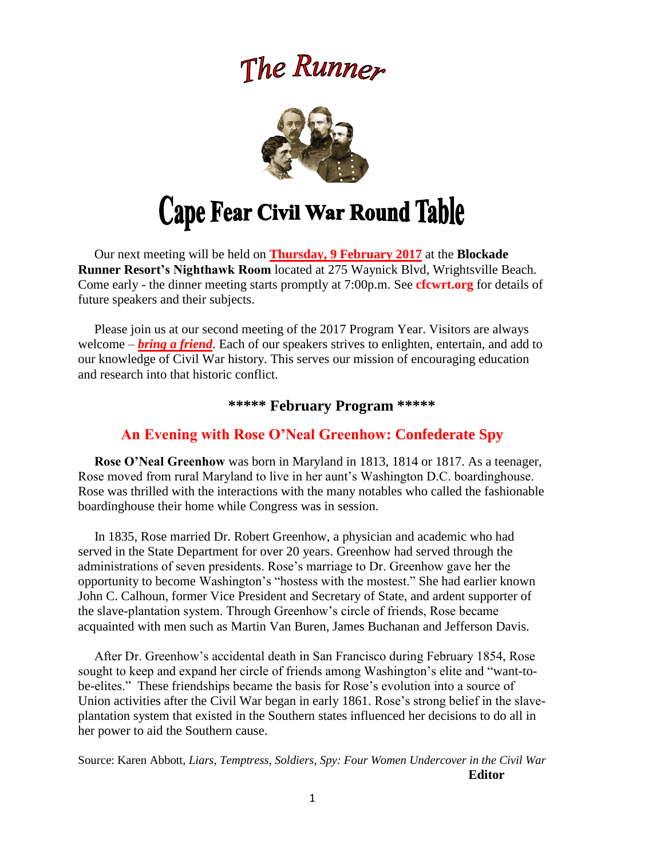# The Runner



 Our next meeting will be held on **Thursday, 9 February 2017** at the **Blockade Runner Resort's Nighthawk Room** located at 275 Waynick Blvd, Wrightsville Beach. Come early - the dinner meeting starts promptly at 7:00p.m. See **cfcwrt.org** for details of future speakers and their subjects.

 Please join us at our second meeting of the 2017 Program Year. Visitors are always welcome – *bring a friend*. Each of our speakers strives to enlighten, entertain, and add to our knowledge of Civil War history. This serves our mission of encouraging education and research into that historic conflict.

# **\*\*\*\*\* February Program \*\*\*\*\***

### **An Evening with Rose O'Neal Greenhow: Confederate Spy**

 **Rose O'Neal Greenhow** was born in Maryland in 1813, 1814 or 1817. As a teenager, Rose moved from rural Maryland to live in her aunt's Washington D.C. boardinghouse. Rose was thrilled with the interactions with the many notables who called the fashionable boardinghouse their home while Congress was in session.

 In 1835, Rose married Dr. Robert Greenhow, a physician and academic who had served in the State Department for over 20 years. Greenhow had served through the administrations of seven presidents. Rose's marriage to Dr. Greenhow gave her the opportunity to become Washington's "hostess with the mostest." She had earlier known John C. Calhoun, former Vice President and Secretary of State, and ardent supporter of the slave-plantation system. Through Greenhow's circle of friends, Rose became acquainted with men such as Martin Van Buren, James Buchanan and Jefferson Davis.

 After Dr. Greenhow's accidental death in San Francisco during February 1854, Rose sought to keep and expand her circle of friends among Washington's elite and "want-tobe-elites." These friendships became the basis for Rose's evolution into a source of Union activities after the Civil War began in early 1861. Rose's strong belief in the slaveplantation system that existed in the Southern states influenced her decisions to do all in her power to aid the Southern cause.

Source: Karen Abbott, *Liars, Temptress, Soldiers, Spy: Four Women Undercover in the Civil War*  **Editor**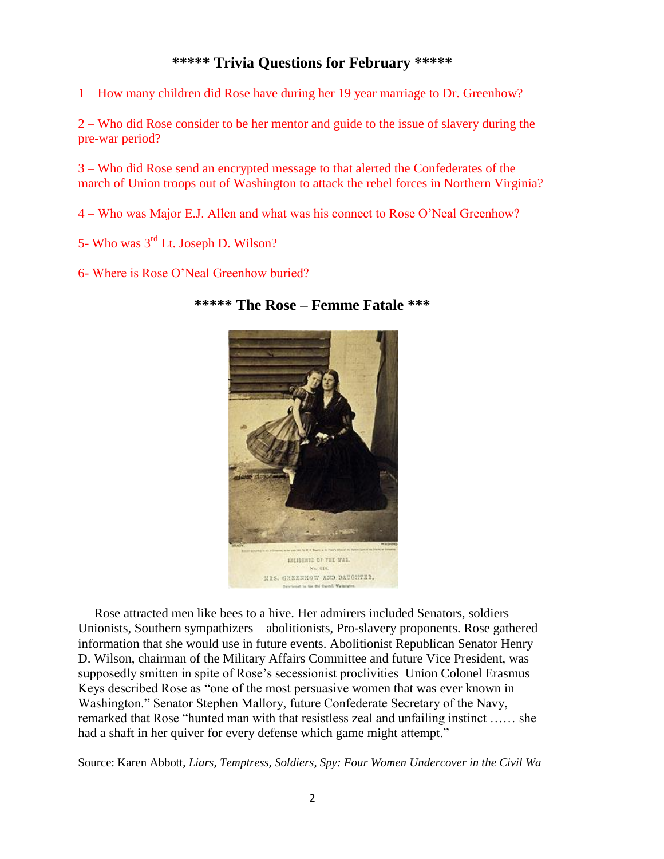# **\*\*\*\*\* Trivia Questions for February \*\*\*\*\***

1 – How many children did Rose have during her 19 year marriage to Dr. Greenhow?

2 – Who did Rose consider to be her mentor and guide to the issue of slavery during the pre-war period?

3 – Who did Rose send an encrypted message to that alerted the Confederates of the march of Union troops out of Washington to attack the rebel forces in Northern Virginia?

4 – Who was Major E.J. Allen and what was his connect to Rose O'Neal Greenhow?

5- Who was 3rd Lt. Joseph D. Wilson?

6- Where is Rose O'Neal Greenhow buried?



**\*\*\*\*\* The Rose – Femme Fatale \*\*\***

 Rose attracted men like bees to a hive. Her admirers included Senators, soldiers – Unionists, Southern sympathizers – abolitionists, Pro-slavery proponents. Rose gathered information that she would use in future events. Abolitionist Republican Senator Henry D. Wilson, chairman of the Military Affairs Committee and future Vice President, was supposedly smitten in spite of Rose's secessionist proclivities Union Colonel Erasmus Keys described Rose as "one of the most persuasive women that was ever known in Washington." Senator Stephen Mallory, future Confederate Secretary of the Navy, remarked that Rose "hunted man with that resistless zeal and unfailing instinct …… she had a shaft in her quiver for every defense which game might attempt."

Source: Karen Abbott, *Liars, Temptress, Soldiers, Spy: Four Women Undercover in the Civil Wa*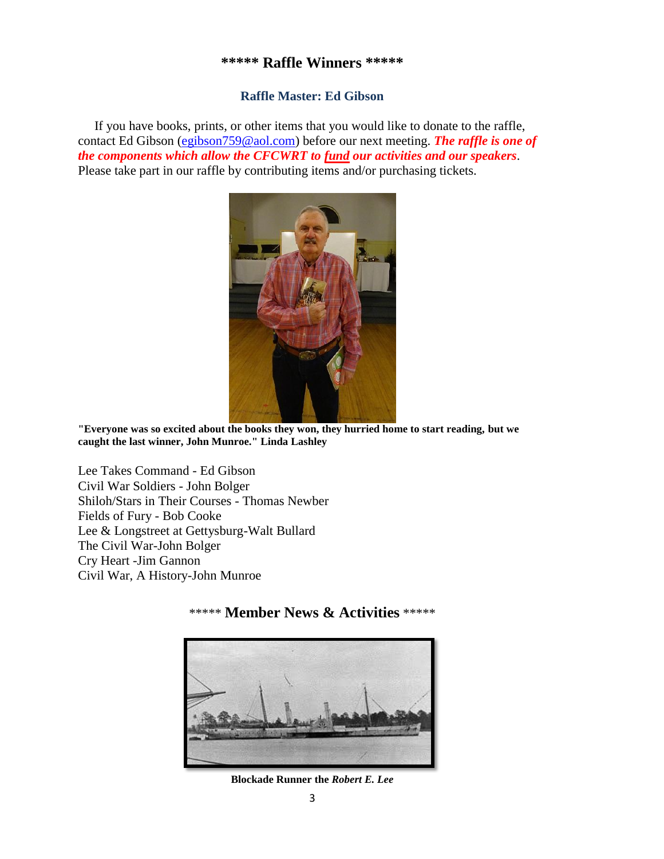#### **\*\*\*\*\* Raffle Winners \*\*\*\*\***

#### **Raffle Master: Ed Gibson**

If you have books, prints, or other items that you would like to donate to the raffle, contact Ed Gibson [\(egibson759@aol.com\)](mailto:egibson759@aol.com) before our next meeting. *The raffle is one of the components which allow the CFCWRT to fund our activities and our speakers*. Please take part in our raffle by contributing items and/or purchasing tickets.



**"Everyone was so excited about the books they won, they hurried home to start reading, but we caught the last winner, John Munroe." Linda Lashley**

Lee Takes Command - Ed Gibson Civil War Soldiers - John Bolger Shiloh/Stars in Their Courses - Thomas Newber Fields of Fury - Bob Cooke Lee & Longstreet at Gettysburg-Walt Bullard The Civil War-John Bolger Cry Heart -Jim Gannon Civil War, A History-John Munroe

### \*\*\*\*\* **Member News & Activities** \*\*\*\*\*



**Blockade Runner the** *Robert E. Lee*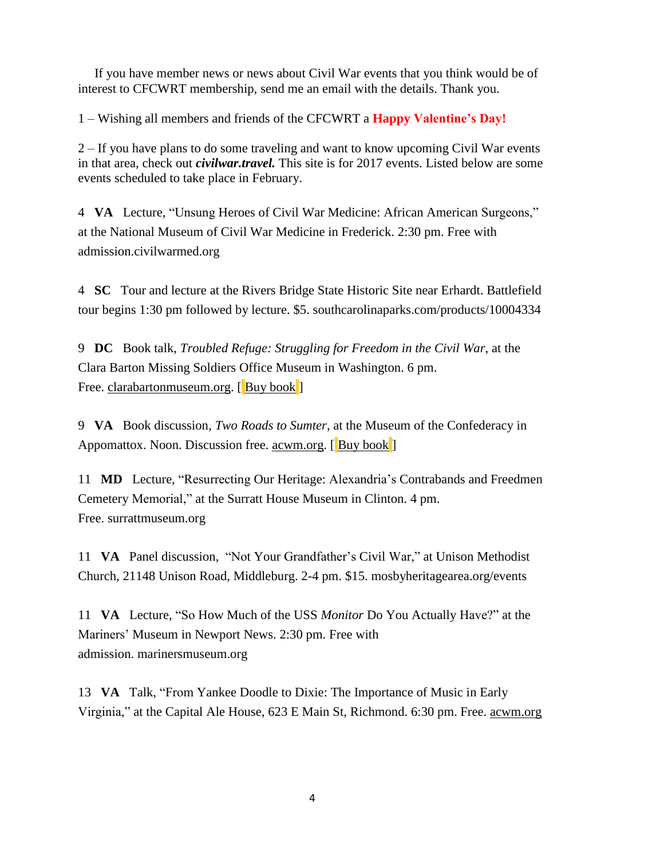If you have member news or news about Civil War events that you think would be of interest to CFCWRT membership, send me an email with the details. Thank you.

1 – Wishing all members and friends of the CFCWRT a **Happy Valentine's Day!**

2 – If you have plans to do some traveling and want to know upcoming Civil War events in that area, check out *civilwar.travel.* This site is for 2017 events. Listed below are some events scheduled to take place in February.

4 **VA** Lecture, "Unsung Heroes of Civil War Medicine: African American Surgeons," at the National Museum of Civil War Medicine in Frederick. 2:30 pm. Free with admission[.civilwarmed.org](http://www.civilwarmed.org/)

4 **SC** Tour and lecture at the Rivers Bridge State Historic Site near Erhardt. Battlefield tour begins 1:30 pm followed by lecture. \$5. [southcarolinaparks.com/products/10004334](http://www.southcarolinaparks.com/products/10004334)

9 **DC** Book talk, *Troubled Refuge: Struggling for Freedom in the Civil War*, at the Clara Barton Missing Soldiers Office Museum in Washington. 6 pm. Free. [clarabartonmuseum.org.](http://www.clarabartonmuseum.org/) [Buy [book](http://amzn.to/2krAoyj)]

9 **VA** Book discussion, *Two Roads to Sumter*, at the Museum of the Confederacy in Appomattox. Noon. Discussion free. [acwm.org.](http://www.acwm.org/) [Buy [book](http://amzn.to/2khJUBA)]

11 **MD** Lecture, "Resurrecting Our Heritage: Alexandria's Contrabands and Freedmen Cemetery Memorial," at the Surratt House Museum in Clinton. 4 pm. Free. [surrattmuseum.org](http://www.surrattmuseum.org/)

11 **VA** Panel discussion, "Not Your Grandfather's Civil War," at Unison Methodist Church, 21148 Unison Road, Middleburg. 2-4 pm. \$15. [mosbyheritagearea.org/events](http://www.mosbyheritagearea.org/events)

11 **VA** Lecture, "So How Much of the USS *Monitor* Do You Actually Have?" at the Mariners' Museum in Newport News. 2:30 pm. Free with admission. [marinersmuseum.org](http://www.marinersmuseum.org/)

13 **VA** Talk, "From Yankee Doodle to Dixie: The Importance of Music in Early Virginia," at the Capital Ale House, 623 E Main St, Richmond. 6:30 pm. Free. [acwm.org](http://www.acwm.org/)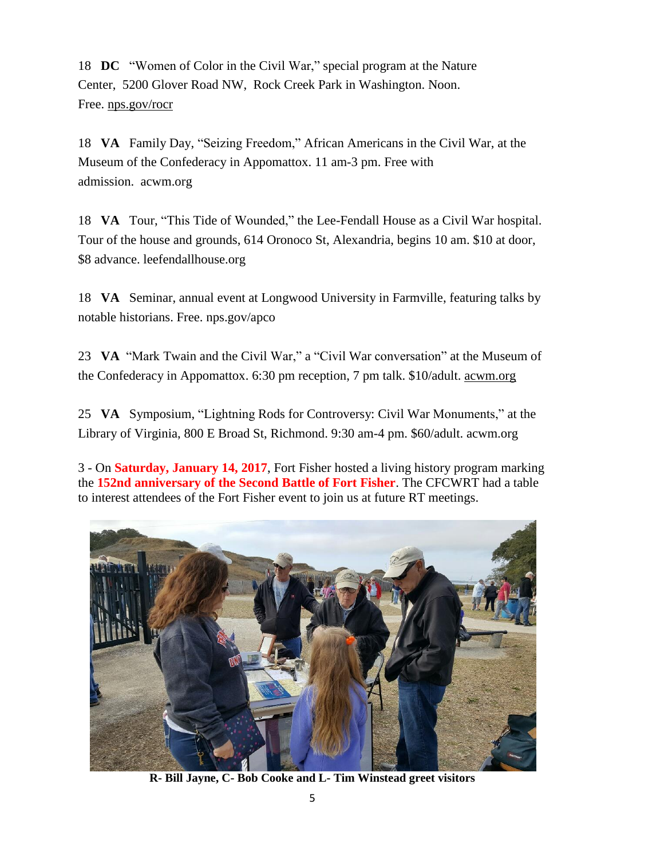18 **DC** "Women of Color in the Civil War," special program at the Nature Center, 5200 Glover Road NW, Rock Creek Park in Washington. Noon. Free. [nps.gov/rocr](http://www.nps.gov/rocr/)

18 **VA** Family Day, "Seizing Freedom," African Americans in the Civil War, at the Museum of the Confederacy in Appomattox. 11 am-3 pm. Free with admission. [acwm.org](http://www.acwm.org/)

18 **VA** Tour, "This Tide of Wounded," the Lee-Fendall House as a Civil War hospital. Tour of the house and grounds, 614 Oronoco St, Alexandria, begins 10 am. \$10 at door, \$8 advance. [leefendallhouse.org](http://www.leefendallhouse.org/)

18 **VA** Seminar, annual event at Longwood University in Farmville, featuring talks by notable historians. Free. [nps.gov/apco](http://www.nps.gov/apco/)

23 **VA** "Mark Twain and the Civil War," a "Civil War conversation" at the Museum of the Confederacy in Appomattox. 6:30 pm reception, 7 pm talk. \$10/adult. [acwm.org](http://www.acwm.org/)

25 **VA** Symposium, "Lightning Rods for Controversy: Civil War Monuments," at the Library of Virginia, 800 E Broad St, Richmond. 9:30 am-4 pm. \$60/adult. [acwm.org](http://www.acwm.org/)

3 - On **Saturday, January 14, 2017**, Fort Fisher hosted a living history program marking the **152nd anniversary of the Second Battle of Fort Fisher**. The CFCWRT had a table to interest attendees of the Fort Fisher event to join us at future RT meetings.



**R- Bill Jayne, C- Bob Cooke and L- Tim Winstead greet visitors**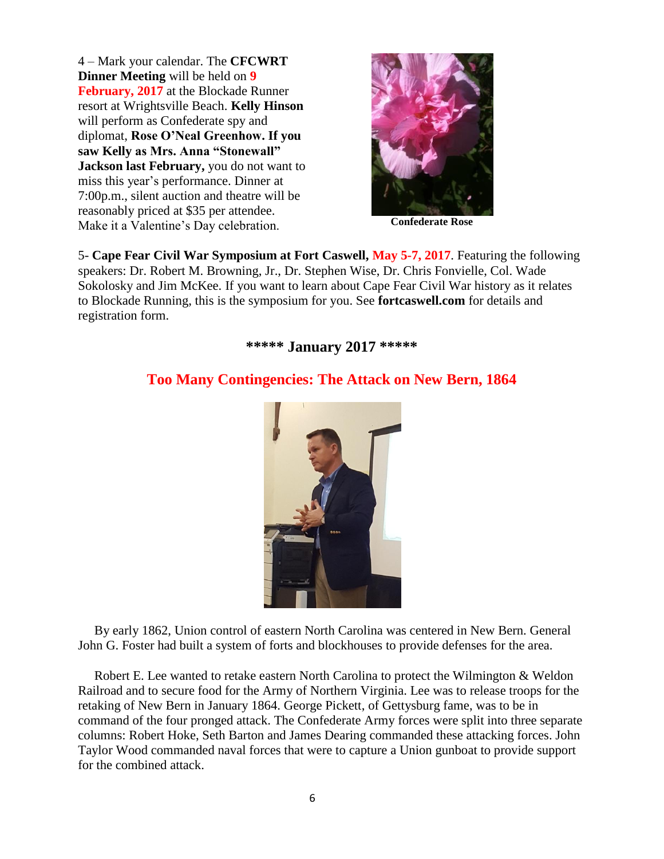4 – Mark your calendar. The **CFCWRT Dinner Meeting** will be held on **9 February, 2017** at the Blockade Runner resort at Wrightsville Beach. **Kelly Hinson**  will perform as Confederate spy and diplomat, **Rose O'Neal Greenhow. If you saw Kelly as Mrs. Anna "Stonewall" Jackson last February,** you do not want to miss this year's performance. Dinner at 7:00p.m., silent auction and theatre will be reasonably priced at \$35 per attendee. Make it a Valentine's Day celebration. **Confederate Rose** 



5- **Cape Fear Civil War Symposium at Fort Caswell, May 5-7, 2017**. Featuring the following speakers: Dr. Robert M. Browning, Jr., Dr. Stephen Wise, Dr. Chris Fonvielle, Col. Wade Sokolosky and Jim McKee. If you want to learn about Cape Fear Civil War history as it relates to Blockade Running, this is the symposium for you. See **fortcaswell.com** for details and registration form.

**\*\*\*\*\* January 2017 \*\*\*\*\***

# **Too Many Contingencies: The Attack on New Bern, 1864**



 By early 1862, Union control of eastern North Carolina was centered in New Bern. General John G. Foster had built a system of forts and blockhouses to provide defenses for the area.

 Robert E. Lee wanted to retake eastern North Carolina to protect the Wilmington & Weldon Railroad and to secure food for the Army of Northern Virginia. Lee was to release troops for the retaking of New Bern in January 1864. George Pickett, of Gettysburg fame, was to be in command of the four pronged attack. The Confederate Army forces were split into three separate columns: Robert Hoke, Seth Barton and James Dearing commanded these attacking forces. John Taylor Wood commanded naval forces that were to capture a Union gunboat to provide support for the combined attack.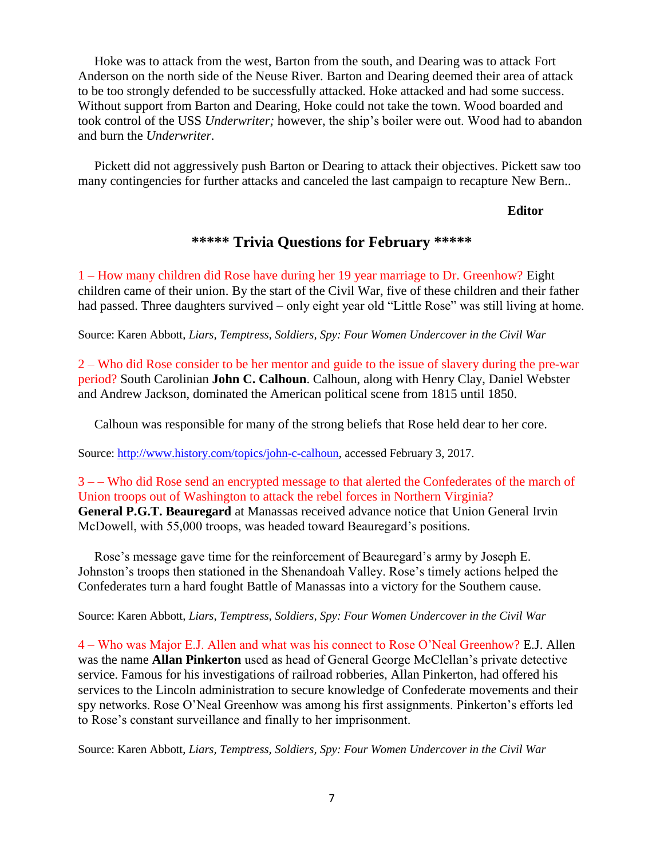Hoke was to attack from the west, Barton from the south, and Dearing was to attack Fort Anderson on the north side of the Neuse River. Barton and Dearing deemed their area of attack to be too strongly defended to be successfully attacked. Hoke attacked and had some success. Without support from Barton and Dearing, Hoke could not take the town. Wood boarded and took control of the USS *Underwriter;* however, the ship's boiler were out. Wood had to abandon and burn the *Underwriter.*

 Pickett did not aggressively push Barton or Dearing to attack their objectives. Pickett saw too many contingencies for further attacks and canceled the last campaign to recapture New Bern..

**Editor**

# **\*\*\*\*\* Trivia Questions for February \*\*\*\*\***

1 – How many children did Rose have during her 19 year marriage to Dr. Greenhow? Eight children came of their union. By the start of the Civil War, five of these children and their father had passed. Three daughters survived – only eight year old "Little Rose" was still living at home.

Source: Karen Abbott, *Liars, Temptress, Soldiers, Spy: Four Women Undercover in the Civil War*

2 – Who did Rose consider to be her mentor and guide to the issue of slavery during the pre-war period? South Carolinian **John C. Calhoun**. Calhoun, along with Henry Clay, Daniel Webster and Andrew Jackson, dominated the American political scene from 1815 until 1850.

Calhoun was responsible for many of the strong beliefs that Rose held dear to her core.

Source: [http://www.history.com/topics/john-c-calhoun,](http://www.history.com/topics/john-c-calhoun) accessed February 3, 2017.

3 – – Who did Rose send an encrypted message to that alerted the Confederates of the march of Union troops out of Washington to attack the rebel forces in Northern Virginia? **General P.G.T. Beauregard** at Manassas received advance notice that Union General Irvin McDowell, with 55,000 troops, was headed toward Beauregard's positions.

 Rose's message gave time for the reinforcement of Beauregard's army by Joseph E. Johnston's troops then stationed in the Shenandoah Valley. Rose's timely actions helped the Confederates turn a hard fought Battle of Manassas into a victory for the Southern cause.

Source: Karen Abbott, *Liars, Temptress, Soldiers, Spy: Four Women Undercover in the Civil War*

4 – Who was Major E.J. Allen and what was his connect to Rose O'Neal Greenhow? E.J. Allen was the name **Allan Pinkerton** used as head of General George McClellan's private detective service. Famous for his investigations of railroad robberies, Allan Pinkerton, had offered his services to the Lincoln administration to secure knowledge of Confederate movements and their spy networks. Rose O'Neal Greenhow was among his first assignments. Pinkerton's efforts led to Rose's constant surveillance and finally to her imprisonment.

Source: Karen Abbott, *Liars, Temptress, Soldiers, Spy: Four Women Undercover in the Civil War*